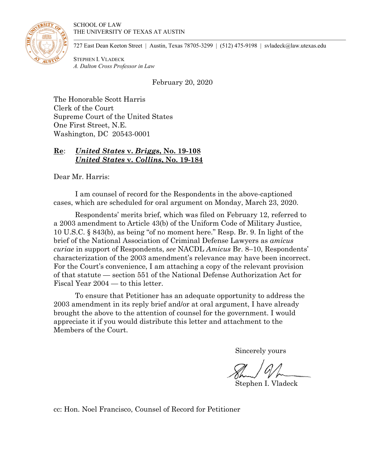

727 East Dean Keeton Street | Austin, Texas 78705-3299 | (512) 475-9198 | svladeck@law.utexas.edu

STEPHEN I. VLADECK *A. Dalton Cross Professor in Law*

February 20, 2020

The Honorable Scott Harris Clerk of the Court Supreme Court of the United States One First Street, N.E. Washington, DC 20543-0001

# **Re**: *United States* **v.** *Briggs***, No. 19-108** *United States* **v.** *Collins***, No. 19-184**

Dear Mr. Harris:

I am counsel of record for the Respondents in the above-captioned cases, which are scheduled for oral argument on Monday, March 23, 2020.

 Respondents' merits brief, which was filed on February 12, referred to a 2003 amendment to Article 43(b) of the Uniform Code of Military Justice, 10 U.S.C. § 843(b), as being "of no moment here." Resp. Br. 9. In light of the brief of the National Association of Criminal Defense Lawyers as *amicus curiae* in support of Respondents, *see* NACDL *Amicus* Br. 8–10, Respondents' characterization of the 2003 amendment's relevance may have been incorrect. For the Court's convenience, I am attaching a copy of the relevant provision of that statute — section 551 of the National Defense Authorization Act for Fiscal Year 2004 — to this letter.

 To ensure that Petitioner has an adequate opportunity to address the 2003 amendment in its reply brief and/or at oral argument, I have already brought the above to the attention of counsel for the government. I would appreciate it if you would distribute this letter and attachment to the Members of the Court.

Sincerely yours

Stephen I. Vladeck

cc: Hon. Noel Francisco, Counsel of Record for Petitioner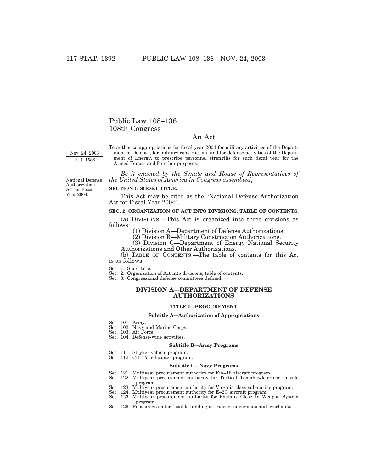## Public Law 108–136 108th Congress

## An Act

Nov. 24, 2003 [H.R. 1588]

To authorize appropriations for fiscal year 2004 for military activities of the Department of Defense, for military construction, and for defense activities of the Department of Energy, to prescribe personnel strengths for such fiscal year for the Armed Forces, and for other purposes.

*Be it enacted by the Senate and House of Representatives of the United States of America in Congress assembled*,

National Defense Authorization Act for Fiscal Year 2004.

### **SECTION 1. SHORT TITLE.**

This Act may be cited as the ''National Defense Authorization Act for Fiscal Year 2004''.

## **SEC. 2. ORGANIZATION OF ACT INTO DIVISIONS; TABLE OF CONTENTS.**

(a) DIVISIONS.—This Act is organized into three divisions as follows:

(1) Division A—Department of Defense Authorizations.

(2) Division B—Military Construction Authorizations.

(3) Division C—Department of Energy National Security Authorizations and Other Authorizations.

(b) TABLE OF CONTENTS.—The table of contents for this Act is as follows:

Sec. 1. Short title.

Sec. 2. Organization of Act into divisions; table of contents.

Sec. 3. Congressional defense committees defined.

## **DIVISION A—DEPARTMENT OF DEFENSE AUTHORIZATIONS**

### **TITLE I—PROCUREMENT**

### **Subtitle A—Authorization of Appropriations**

- Sec. 101. Army.
- Sec. 102. Navy and Marine Corps.
- Sec. 103. Air Force.
- Sec. 104. Defense-wide activities.

#### **Subtitle B—Army Programs**

- Sec. 111. Stryker vehicle program.
- Sec. 112. CH–47 helicopter program.

#### **Subtitle C—Navy Programs**

- Sec. 121. Multiyear procurement authority for F/A–18 aircraft program.
- Sec. 122. Multiyear procurement authority for Tactical Tomahawk cruise missile program.
- Sec. 123. Multiyear procurement authority for Virginia class submarine program.
- Sec. 124. Multiyear procurement authority for E–2C aircraft program.
- Sec. 125. Multiyear procurement authority for Phalanx Close In Weapon System program.
- Sec. 126. Pilot program for flexible funding of cruiser conversions and overhauls.